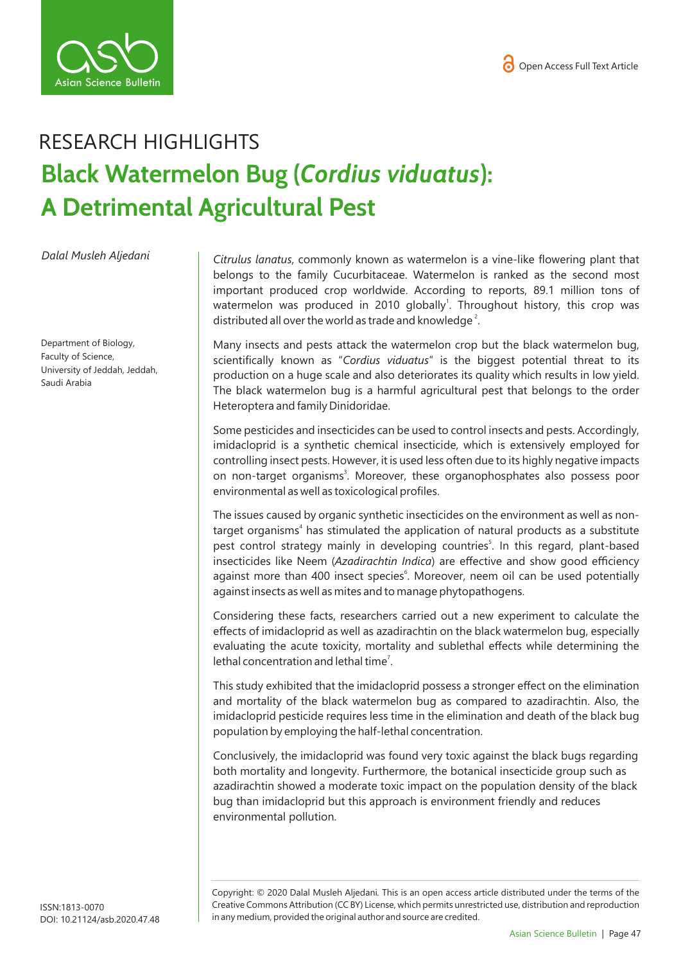



## RESEARCH HIGHLIGHTS **Black Watermelon Bug (***Cordius viduatus***): A Detrimental Agricultural Pest**

*Dalal Musleh Aljedani*

Department of Biology, Faculty of Science, University of Jeddah, Jeddah, Saudi Arabia

*Citrulus lanatus*, commonly known as watermelon is a vine-like flowering plant that belongs to the family Cucurbitaceae. Watermelon is ranked as the second most important produced crop worldwide. According to reports, 89.1 million tons of watermelon was produced in 2010 globally<sup>1</sup>. Throughout history, this crop was distributed all over the world as trade and knowledge<sup>2</sup>.

Many insects and pests attack the watermelon crop but the black watermelon bug, scientifically known as "*Cordius viduatus*" is the biggest potential threat to its production on a huge scale and also deteriorates its quality which results in low yield. The black watermelon bug is a harmful agricultural pest that belongs to the order Heteroptera and family Dinidoridae.

Some pesticides and insecticides can be used to control insects and pests. Accordingly, imidacloprid is a synthetic chemical insecticide, which is extensively employed for controlling insect pests. However, it is used less often due to its highly negative impacts on non-target organisms<sup>3</sup>. Moreover, these organophosphates also possess poor environmental as well as toxicological profiles.

The issues caused by organic synthetic insecticides on the environment as well as nontarget organisms<sup>4</sup> has stimulated the application of natural products as a substitute pest control strategy mainly in developing countries<sup>5</sup>. In this regard, plant-based insecticides like Neem (*Azadirachtin Indica*) are effective and show good efficiency against more than 400 insect species<sup>6</sup>. Moreover, neem oil can be used potentially against insects as well as mites and to manage phytopathogens.

Considering these facts, researchers carried out a new experiment to calculate the effects of imidacloprid as well as azadirachtin on the black watermelon bug, especially evaluating the acute toxicity, mortality and sublethal effects while determining the lethal concentration and lethal time<sup>7</sup>.

This study exhibited that the imidacloprid possess a stronger effect on the elimination and mortality of the black watermelon bug as compared to azadirachtin. Also, the imidacloprid pesticide requires less time in the elimination and death of the black bug population by employing the half-lethal concentration.

Conclusively, the imidacloprid was found very toxic against the black bugs regarding both mortality and longevity. Furthermore, the botanical insecticide group such as azadirachtin showed a moderate toxic impact on the population density of the black bug than imidacloprid but this approach is environment friendly and reduces environmental pollution.

Copyright: © 2020 Dalal Musleh Aljedani*.* This is an open access article distributed under the terms of the Creative Commons Attribution (CC BY) License, which permits unrestricted use, distribution and reproduction in any medium, provided the original author and source are credited.